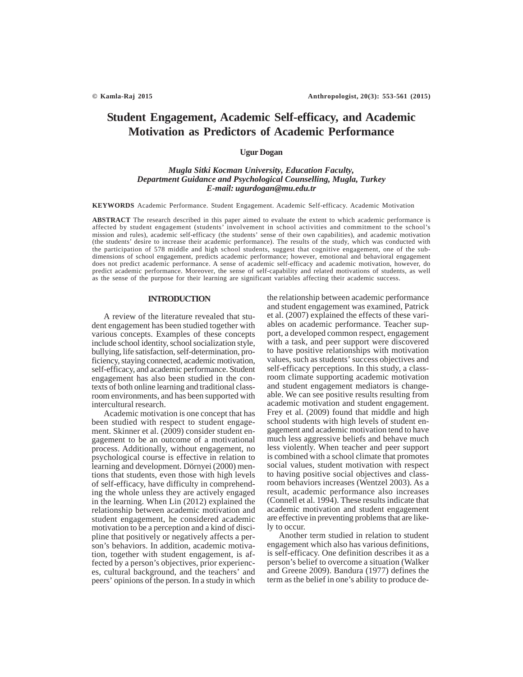# **Student Engagement, Academic Self-efficacy, and Academic Motivation as Predictors of Academic Performance**

# **Ugur Dogan**

# *Mugla Sitki Kocman University, Education Faculty, Department Guidance and Psychological Counselling, Mugla, Turkey E-mail: ugurdogan@mu.edu.tr*

**KEYWORDS** Academic Performance. Student Engagement. Academic Self-efficacy. Academic Motivation

**ABSTRACT** The research described in this paper aimed to evaluate the extent to which academic performance is affected by student engagement (students' involvement in school activities and commitment to the school's mission and rules), academic self-efficacy (the students' sense of their own capabilities), and academic motivation (the students' desire to increase their academic performance). The results of the study, which was conducted with the participation of 578 middle and high school students, suggest that cognitive engagement, one of the subdimensions of school engagement, predicts academic performance; however, emotional and behavioral engagement does not predict academic performance. A sense of academic self-efficacy and academic motivation, however, do predict academic performance. Moreover, the sense of self-capability and related motivations of students, as well as the sense of the purpose for their learning are significant variables affecting their academic success.

### **INTRODUCTION**

A review of the literature revealed that student engagement has been studied together with various concepts. Examples of these concepts include school identity, school socialization style, bullying, life satisfaction, self-determination, proficiency, staying connected, academic motivation, self-efficacy, and academic performance. Student engagement has also been studied in the contexts of both online learning and traditional classroom environments, and has been supported with intercultural research.

Academic motivation is one concept that has been studied with respect to student engagement. Skinner et al. (2009) consider student engagement to be an outcome of a motivational process. Additionally, without engagement, no psychological course is effective in relation to learning and development. Dörnyei (2000) mentions that students, even those with high levels of self-efficacy, have difficulty in comprehending the whole unless they are actively engaged in the learning. When Lin (2012) explained the relationship between academic motivation and student engagement, he considered academic motivation to be a perception and a kind of discipline that positively or negatively affects a person's behaviors. In addition, academic motivation, together with student engagement, is affected by a person's objectives, prior experiences, cultural background, and the teachers' and peers' opinions of the person. In a study in which the relationship between academic performance and student engagement was examined, Patrick et al. (2007) explained the effects of these variables on academic performance. Teacher support, a developed common respect, engagement with a task, and peer support were discovered to have positive relationships with motivation values, such as students' success objectives and self-efficacy perceptions. In this study, a classroom climate supporting academic motivation and student engagement mediators is changeable. We can see positive results resulting from academic motivation and student engagement. Frey et al. (2009) found that middle and high school students with high levels of student engagement and academic motivation tend to have much less aggressive beliefs and behave much less violently. When teacher and peer support is combined with a school climate that promotes social values, student motivation with respect to having positive social objectives and classroom behaviors increases (Wentzel 2003). As a result, academic performance also increases (Connell et al. 1994). These results indicate that academic motivation and student engagement are effective in preventing problems that are likely to occur.

Another term studied in relation to student engagement which also has various definitions, is self-efficacy. One definition describes it as a person's belief to overcome a situation (Walker and Greene 2009). Bandura (1977) defines the term as the belief in one's ability to produce de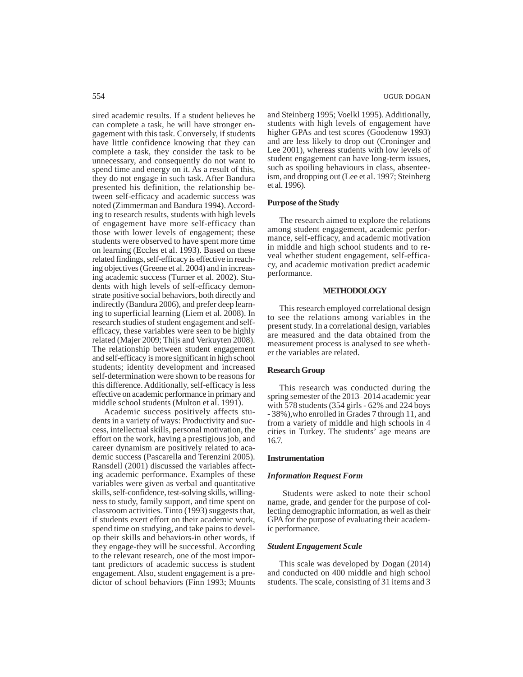sired academic results. If a student believes he can complete a task, he will have stronger engagement with this task. Conversely, if students have little confidence knowing that they can complete a task, they consider the task to be unnecessary, and consequently do not want to spend time and energy on it. As a result of this, they do not engage in such task. After Bandura presented his definition, the relationship between self-efficacy and academic success was noted (Zimmerman and Bandura 1994). According to research results, students with high levels of engagement have more self-efficacy than those with lower levels of engagement; these students were observed to have spent more time on learning (Eccles et al. 1993). Based on these related findings, self-efficacy is effective in reaching objectives (Greene et al. 2004) and in increasing academic success (Turner et al. 2002). Students with high levels of self-efficacy demonstrate positive social behaviors, both directly and indirectly (Bandura 2006), and prefer deep learning to superficial learning (Liem et al. 2008). In research studies of student engagement and selfefficacy, these variables were seen to be highly related (Majer 2009; Thijs and Verkuyten 2008). The relationship between student engagement and self-efficacy is more significant in high school students; identity development and increased self-determination were shown to be reasons for this difference. Additionally, self-efficacy is less effective on academic performance in primary and middle school students (Multon et al. 1991).

Academic success positively affects students in a variety of ways: Productivity and success, intellectual skills, personal motivation, the effort on the work, having a prestigious job, and career dynamism are positively related to academic success (Pascarella and Terenzini 2005). Ransdell (2001) discussed the variables affecting academic performance. Examples of these variables were given as verbal and quantitative skills, self-confidence, test-solving skills, willingness to study, family support, and time spent on classroom activities. Tinto (1993) suggests that, if students exert effort on their academic work, spend time on studying, and take pains to develop their skills and behaviors-in other words, if they engage-they will be successful. According to the relevant research, one of the most important predictors of academic success is student engagement. Also, student engagement is a predictor of school behaviors (Finn 1993; Mounts

and Steinberg 1995; Voelkl 1995). Additionally, students with high levels of engagement have higher GPAs and test scores (Goodenow 1993) and are less likely to drop out (Croninger and Lee 2001), whereas students with low levels of student engagement can have long-term issues, such as spoiling behaviours in class, absenteeism, and dropping out (Lee et al. 1997; Steinherg

#### **Purpose of the Study**

et al. 1996).

The research aimed to explore the relations among student engagement, academic performance, self-efficacy, and academic motivation in middle and high school students and to reveal whether student engagement, self-efficacy, and academic motivation predict academic performance.

### **METHODOLOGY**

This research employed correlational design to see the relations among variables in the present study. In a correlational design, variables are measured and the data obtained from the measurement process is analysed to see whether the variables are related.

### **Research Group**

This research was conducted during the spring semester of the 2013–2014 academic year with 578 students (354 girls - 62% and 224 boys - 38%),who enrolled in Grades 7 through 11, and from a variety of middle and high schools in 4 cities in Turkey. The students' age means are 16.7.

# **Instrumentation**

### *Information Request Form*

 Students were asked to note their school name, grade, and gender for the purpose of collecting demographic information, as well as their GPA for the purpose of evaluating their academic performance.

# *Student Engagement Scale*

This scale was developed by Dogan (2014) and conducted on 400 middle and high school students. The scale, consisting of 31 items and 3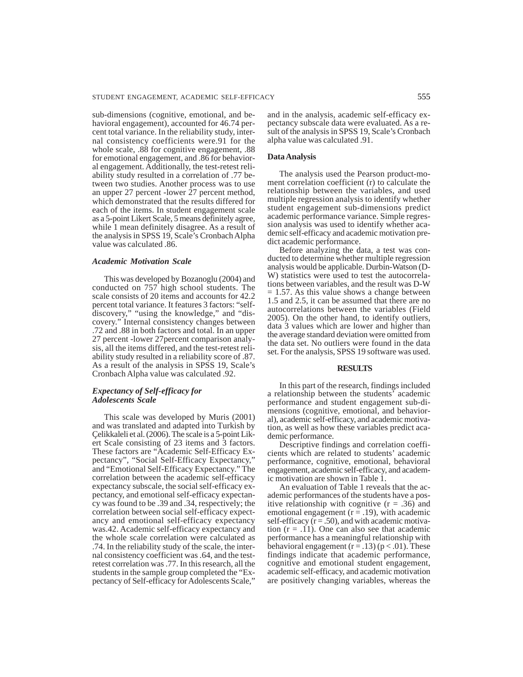sub-dimensions (cognitive, emotional, and behavioral engagement), accounted for 46.74 percent total variance. In the reliability study, internal consistency coefficients were.91 for the whole scale, .88 for cognitive engagement, .88 for emotional engagement, and .86 for behavioral engagement. Additionally, the test-retest reliability study resulted in a correlation of .77 between two studies. Another process was to use an upper 27 percent -lower 27 percent method, which demonstrated that the results differed for each of the items. In student engagement scale as a 5-point Likert Scale, 5 means definitely agree, while 1 mean definitely disagree. As a result of the analysis in SPSS 19, Scale's Cronbach Alpha value was calculated .86.

#### *Academic Motivation Scale*

This was developed by Bozanoglu (2004) and conducted on 757 high school students. The scale consists of 20 items and accounts for 42.2 percent total variance. It features 3 factors: "selfdiscovery," "using the knowledge," and "discovery." Internal consistency changes between .72 and .88 in both factors and total. In an upper 27 percent -lower 27percent comparison analysis, all the items differed, and the test-retest reliability study resulted in a reliability score of .87. As a result of the analysis in SPSS 19, Scale's Cronbach Alpha value was calculated .92.

# *Expectancy of Self-efficacy for Adolescents Scale*

This scale was developed by Muris (2001) and was translated and adapted into Turkish by Çelikkaleli et al. (2006). The scale is a 5-point Likert Scale consisting of 23 items and 3 factors. These factors are "Academic Self-Efficacy Expectancy", "Social Self-Efficacy Expectancy," and "Emotional Self-Efficacy Expectancy." The correlation between the academic self-efficacy expectancy subscale, the social self-efficacy expectancy, and emotional self-efficacy expectancy was found to be .39 and .34, respectively; the correlation between social self-efficacy expectancy and emotional self-efficacy expectancy was.42. Academic self-efficacy expectancy and the whole scale correlation were calculated as .74. In the reliability study of the scale, the internal consistency coefficient was .64, and the testretest correlation was .77. In this research, all the students in the sample group completed the "Expectancy of Self-efficacy for Adolescents Scale,"

and in the analysis, academic self-efficacy expectancy subscale data were evaluated. As a result of the analysis in SPSS 19, Scale's Cronbach alpha value was calculated .91.

### **Data Analysis**

The analysis used the Pearson product-moment correlation coefficient (r) to calculate the relationship between the variables, and used multiple regression analysis to identify whether student engagement sub-dimensions predict academic performance variance. Simple regression analysis was used to identify whether academic self-efficacy and academic motivation predict academic performance.

Before analyzing the data, a test was conducted to determine whether multiple regression analysis would be applicable. Durbin-Watson (D-W) statistics were used to test the autocorrelations between variables, and the result was D-W  $= 1.57$ . As this value shows a change between 1.5 and 2.5, it can be assumed that there are no autocorrelations between the variables (Field 2005). On the other hand, to identify outliers, data 3 values which are lower and higher than the average standard deviation were omitted from the data set. No outliers were found in the data set. For the analysis, SPSS 19 software was used.

# **RESULTS**

In this part of the research, findings included a relationship between the students' academic performance and student engagement sub-dimensions (cognitive, emotional, and behavioral), academic self-efficacy, and academic motivation, as well as how these variables predict academic performance.

Descriptive findings and correlation coefficients which are related to students' academic performance, cognitive, emotional, behavioral engagement, academic self-efficacy, and academic motivation are shown in Table 1.

An evaluation of Table 1 reveals that the academic performances of the students have a positive relationship with cognitive  $(r = .36)$  and emotional engagement ( $r = .19$ ), with academic self-efficacy  $(r = .50)$ , and with academic motivation  $(r = .11)$ . One can also see that academic performance has a meaningful relationship with behavioral engagement  $(r = .13)$  ( $p < .01$ ). These findings indicate that academic performance, cognitive and emotional student engagement, academic self-efficacy, and academic motivation are positively changing variables, whereas the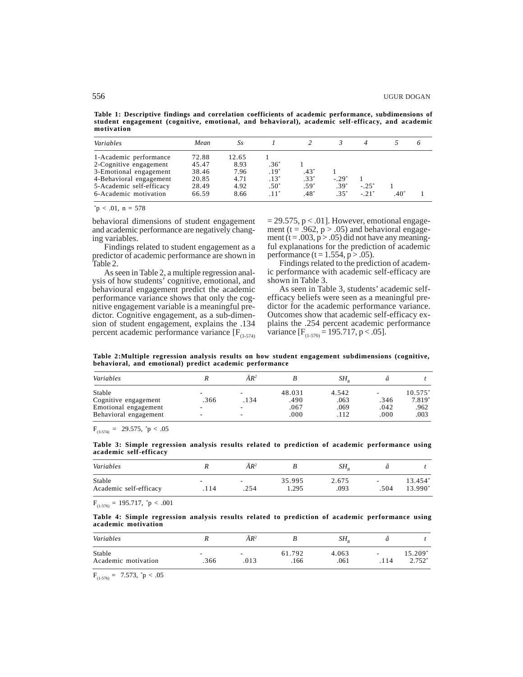**Table 1: Descriptive findings and correlation coefficients of academic performance, subdimensions of student engagement (cognitive, emotional, and behavioral), academic self-efficacy, and academic motivation**

| Variables                                                                                             | Mean                                      | Ss                                    |                                      |                          |                          |                    |     |  |
|-------------------------------------------------------------------------------------------------------|-------------------------------------------|---------------------------------------|--------------------------------------|--------------------------|--------------------------|--------------------|-----|--|
| 1-Academic performance<br>2-Cognitive engagement<br>3-Emotional engagement<br>4-Behavioral engagement | 72.88<br>45.47<br>38.46<br>20.85<br>28.49 | 12.65<br>8.93<br>7.96<br>4.71<br>4.92 | $.36*$<br>$.19*$<br>$.13*$<br>$.50*$ | .43*<br>$.33*$<br>$.59*$ | $-.29^{\circ}$<br>$.39*$ | $-25$ <sup>*</sup> |     |  |
| 5-Academic self-efficacy<br>6-Academic motivation                                                     | 66.59                                     | 8.66                                  | $-11$ <sup>*</sup>                   | $.48*$                   | 35"                      | $-21$ <sup>*</sup> | .40 |  |

 $np < .01$ ,  $n = 578$ 

behavioral dimensions of student engagement and academic performance are negatively changing variables.

Findings related to student engagement as a predictor of academic performance are shown in Table 2.

As seen in Table 2, a multiple regression analysis of how students' cognitive, emotional, and behavioural engagement predict the academic performance variance shows that only the cognitive engagement variable is a meaningful predictor. Cognitive engagement, as a sub-dimension of student engagement, explains the .134 percent academic performance variance  $[F_{(3-574)}]$ 

 $= 29.575$ , p < .01]. However, emotional engagement ( $t = .962$ ,  $p > .05$ ) and behavioral engagement (t = .003,  $p > .05$ ) did not have any meaningful explanations for the prediction of academic performance (t = 1.554, p > .05).

Findings related to the prediction of academic performance with academic self-efficacy are shown in Table 3.

As seen in Table 3, students' academic selfefficacy beliefs were seen as a meaningful predictor for the academic performance variance. Outcomes show that academic self-efficacy explains the .254 percent academic performance variance  $[F_{(1-576)} = 195.717, p < .05]$ .

**Table 2:Multiple regression analysis results on how student engagement subdimensions (cognitive, behavioral, and emotional) predict academic performance**

| Variables             |      | $\ddot{A}R^2$ |        | $SH_{\scriptscriptstyle D}$ |      |           |
|-----------------------|------|---------------|--------|-----------------------------|------|-----------|
| Stable                |      |               | 48.031 | 4.542                       |      | $10.575*$ |
| Cognitive engagement  | .366 | .134          | .490   | .063                        | .346 | 7.819*    |
| Emotional engagement  |      |               | .067   | .069                        | .042 | .962      |
| Behavioral engagement |      |               | .000   | 112                         | .000 | .003      |

 $F_{(3-574)} = 29.575$ ,  ${}^*p < .05$ 

**Table 3: Simple regression analysis results related to prediction of academic performance using academic self-efficacy**

| Variables              |    | ÄR2  |        | SH,   |      |            |
|------------------------|----|------|--------|-------|------|------------|
| Stable                 | -  | -    | 35.995 | 2.675 |      | 13.454*    |
| Academic self-efficacy | 14 | .254 | 295. ا | .093  | .504 | $13.990^*$ |

 $F_{(1-576)} = 195.717$ , \*p < .001

**Table 4: Simple regression analysis results related to prediction of academic performance using academic motivation**

| Variables           |      | $\ddot{A}R^2$            |        | $SH_{\scriptscriptstyle D}$ |      |          |
|---------------------|------|--------------------------|--------|-----------------------------|------|----------|
| Stable              | ۰    | $\overline{\phantom{a}}$ | 61.792 | 4.063                       | ۰.   | 15.209*  |
| Academic motivation | .366 | .013                     | .166   | .061                        | .114 | $2.752*$ |

 $F_{(1-576)} = 7.573$ ,  $^{*}p < .05$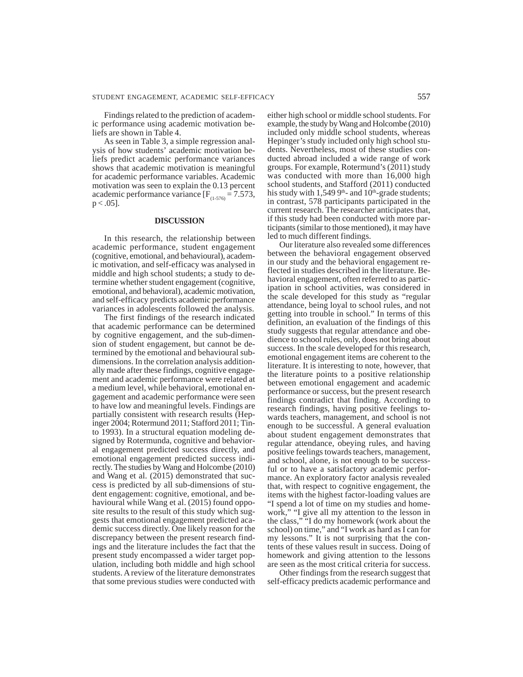Findings related to the prediction of academic performance using academic motivation beliefs are shown in Table 4.

As seen in Table 3, a simple regression analysis of how students' academic motivation beliefs predict academic performance variances shows that academic motivation is meaningful for academic performance variables. Academic motivation was seen to explain the 0.13 percent academic performance variance  $[F_{(1-576)} = 7.573$ ,  $p < .05$ ].

### **DISCUSSION**

In this research, the relationship between academic performance, student engagement (cognitive, emotional, and behavioural), academic motivation, and self-efficacy was analysed in middle and high school students; a study to determine whether student engagement (cognitive, emotional, and behavioral), academic motivation, and self-efficacy predicts academic performance variances in adolescents followed the analysis.

The first findings of the research indicated that academic performance can be determined by cognitive engagement, and the sub-dimension of student engagement, but cannot be determined by the emotional and behavioural subdimensions. In the correlation analysis additionally made after these findings, cognitive engagement and academic performance were related at a medium level, while behavioral, emotional engagement and academic performance were seen to have low and meaningful levels. Findings are partially consistent with research results (Hepinger 2004; Rotermund 2011; Stafford 2011; Tinto 1993). In a structural equation modeling designed by Rotermunda, cognitive and behavioral engagement predicted success directly, and emotional engagement predicted success indirectly. The studies by Wang and Holcombe (2010) and Wang et al. (2015) demonstrated that success is predicted by all sub-dimensions of student engagement: cognitive, emotional, and behavioural while Wang et al. (2015) found opposite results to the result of this study which suggests that emotional engagement predicted academic success directly. One likely reason for the discrepancy between the present research findings and the literature includes the fact that the present study encompassed a wider target population, including both middle and high school students. A review of the literature demonstrates that some previous studies were conducted with

either high school or middle school students. For example, the study by Wang and Holcombe (2010) included only middle school students, whereas Hepinger's study included only high school students. Nevertheless, most of these studies conducted abroad included a wide range of work groups. For example, Rotermund's (2011) study was conducted with more than 16,000 high school students, and Stafford (2011) conducted his study with  $1,549$  9<sup>th</sup>- and  $10<sup>th</sup>$ -grade students; in contrast, 578 participants participated in the current research. The researcher anticipates that, if this study had been conducted with more participants (similar to those mentioned), it may have led to much different findings.

Our literature also revealed some differences between the behavioral engagement observed in our study and the behavioral engagement reflected in studies described in the literature. Behavioral engagement, often referred to as participation in school activities, was considered in the scale developed for this study as "regular attendance, being loyal to school rules, and not getting into trouble in school." In terms of this definition, an evaluation of the findings of this study suggests that regular attendance and obedience to school rules, only, does not bring about success. In the scale developed for this research, emotional engagement items are coherent to the literature. It is interesting to note, however, that the literature points to a positive relationship between emotional engagement and academic performance or success, but the present research findings contradict that finding. According to research findings, having positive feelings towards teachers, management, and school is not enough to be successful. A general evaluation about student engagement demonstrates that regular attendance, obeying rules, and having positive feelings towards teachers, management, and school, alone, is not enough to be successful or to have a satisfactory academic performance. An exploratory factor analysis revealed that, with respect to cognitive engagement, the items with the highest factor-loading values are "I spend a lot of time on my studies and homework," "I give all my attention to the lesson in the class," "I do my homework (work about the school) on time," and "I work as hard as I can for my lessons." It is not surprising that the contents of these values result in success. Doing of homework and giving attention to the lessons are seen as the most critical criteria for success.

Other findings from the research suggest that self-efficacy predicts academic performance and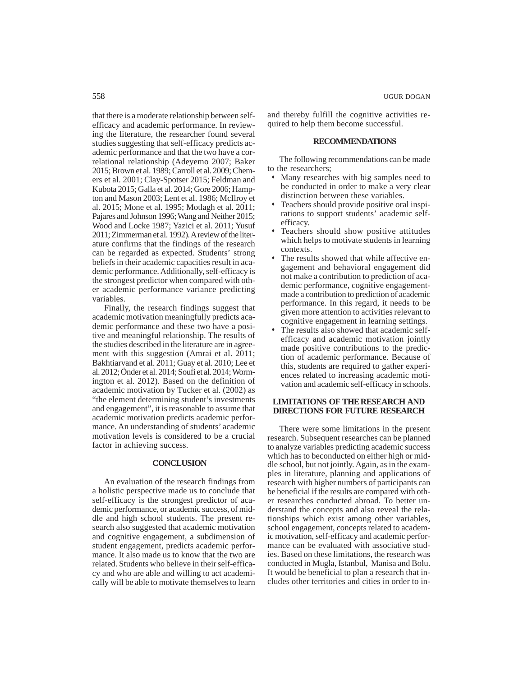that there is a moderate relationship between selfefficacy and academic performance. In reviewing the literature, the researcher found several studies suggesting that self-efficacy predicts academic performance and that the two have a correlational relationship (Adeyemo 2007; Baker 2015; Brown et al. 1989; Carroll et al. 2009; Chemers et al. 2001; Clay-Spotser 2015; Feldman and Kubota 2015; Galla et al. 2014; Gore 2006; Hampton and Mason 2003; Lent et al. 1986; McIlroy et al. 2015; Mone et al. 1995; Motlagh et al. 2011; Pajares and Johnson 1996; Wang and Neither 2015; Wood and Locke 1987; Yazici et al. 2011; Yusuf 2011; Zimmerman et al. 1992). A review of the literature confirms that the findings of the research can be regarded as expected. Students' strong beliefs in their academic capacities result in academic performance. Additionally, self-efficacy is the strongest predictor when compared with other academic performance variance predicting variables.

Finally, the research findings suggest that academic motivation meaningfully predicts academic performance and these two have a positive and meaningful relationship. The results of the studies described in the literature are in agreement with this suggestion (Amrai et al. 2011; Bakhtiarvand et al. 2011; Guay et al. 2010; Lee et al. 2012; Önder et al. 2014; Soufi et al. 2014; Wormington et al. 2012). Based on the definition of academic motivation by Tucker et al. (2002) as "the element determining student's investments and engagement", it is reasonable to assume that academic motivation predicts academic performance. An understanding of students' academic motivation levels is considered to be a crucial factor in achieving success.

### **CONCLUSION**

An evaluation of the research findings from a holistic perspective made us to conclude that self-efficacy is the strongest predictor of academic performance, or academic success, of middle and high school students. The present research also suggested that academic motivation and cognitive engagement, a subdimension of student engagement, predicts academic performance. It also made us to know that the two are related. Students who believe in their self-efficacy and who are able and willing to act academically will be able to motivate themselves to learn

and thereby fulfill the cognitive activities required to help them become successful.

# **RECOMMENDATIONS**

The following recommendations can be made to the researchers;

- Many researches with big samples need to be conducted in order to make a very clear distinction between these variables.
- Teachers should provide positive oral inspirations to support students' academic selfefficacy.
- Teachers should show positive attitudes which helps to motivate students in learning contexts.
- The results showed that while affective engagement and behavioral engagement did not make a contribution to prediction of academic performance, cognitive engagementmade a contribution to prediction of academic performance. In this regard, it needs to be given more attention to activities relevant to cognitive engagement in learning settings.
- The results also showed that academic selfefficacy and academic motivation jointly made positive contributions to the prediction of academic performance. Because of this, students are required to gather experiences related to increasing academic motivation and academic self-efficacy in schools.

# **LIMITATIONS OF THE RESEARCH AND DIRECTIONS FOR FUTURE RESEARCH**

There were some limitations in the present research. Subsequent researches can be planned to analyze variables predicting academic success which has to beconducted on either high or middle school, but not jointly. Again, as in the examples in literature, planning and applications of research with higher numbers of participants can be beneficial if the results are compared with other researches conducted abroad. To better understand the concepts and also reveal the relationships which exist among other variables, school engagement, concepts related to academic motivation, self-efficacy and academic performance can be evaluated with associative studies. Based on these limitations, the research was conducted in Mugla, Istanbul, Manisa and Bolu. It would be beneficial to plan a research that includes other territories and cities in order to in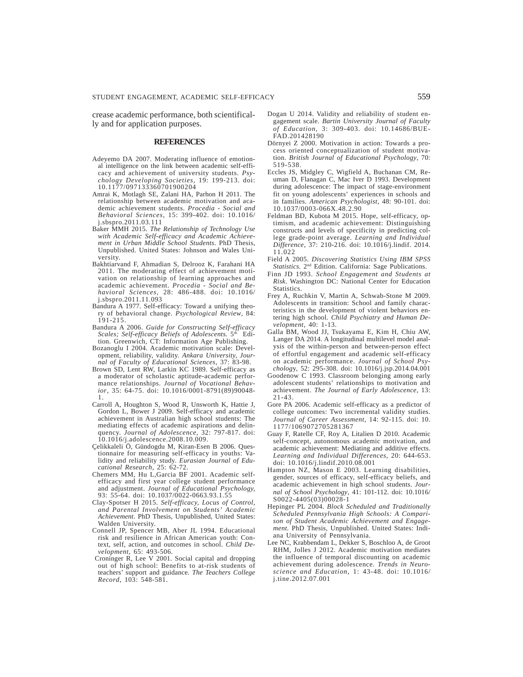crease academic performance, both scientifically and for application purposes.

### **REFERENCES**

- Adeyemo DA 2007. Moderating influence of emotional intelligence on the link between academic self-efficacy and achievement of university students. *Psychology Developing Societies*, 19: 199-213. doi: 10.1177/097133360701900204
- Amrai K, Motlagh SE, Zalani HA, Parhon H 2011. The relationship between academic motivation and academic achievement students. *Procedia - Social and Behavioral Sciences*, 15: 399-402. doi: 10.1016/ j.sbspro.2011.03.111
- Baker MMH 2015. *The Relationship of Technology Use with Academic Self-efficacy and Academic Achievement in Urban Middle School Students*. PhD Thesis, Unpublished. United States: Johnson and Wales University.
- Bakhtiarvand F, Ahmadian S, Delrooz K, Farahani HA 2011. The moderating effect of achievement motivation on relationship of learning approaches and academic achievement. *Procedia - Social and Behavioral Sciences*, 28: 486-488. doi: 10.1016/ j.sbspro.2011.11.093
- Bandura A 1977. Self-efficacy: Toward a unifying theory of behavioral change. *Psychological Review*, 84: 191-215.
- Bandura A 2006. *Guide for Constructing Self-efficacy Scales; Self-efficacy Beliefs of Adolescents.* 5th Edition*.* Greenwich, CT: Information Age Publishing.
- Bozanoglu I 2004. Academic motivation scale: Development, reliability, validity. *Ankara University, Journal of Faculty of Educational Sciences*, 37: 83-98.
- Brown SD, Lent RW, Larkin KC 1989. Self-efficacy as a moderator of scholastic aptitude-academic performance relationships. *Journal of Vocational Behav*ior, 35: 64-75. doi: 10.1016/0001-8791(89)90048-1.
- Carroll A, Houghton S, Wood R, Unsworth K, Hattie J, Gordon L, Bower J 2009. Self-efficacy and academic achievement in Australian high school students: The mediating effects of academic aspirations and delinquency. *Journal of Adolescence*, 32: 797-817. doi: 10.1016/j.adolescence.2008.10.009.
- Çelikkaleli Ö, Gündogdu M, Kiran-Esen B 2006. Questionnaire for measuring self-efficacy in youths: Validity and reliability study. *Eurasian Journal of Educational Research,* 25: 62-72.
- Chemers MM, Hu L,Garcia BF 2001. Academic selfefficacy and first year college student performance and adjustment. *Journal of Educational Psychology,* 93: 55-64. doi: 10.1037/0022-0663.93.1.55
- Clay-Spotser H 2015. *Self-efficacy, Locus of Control, and Parental Involvement on Students' Academic Achievement*. PhD Thesis, Unpublished, United States: Walden University.
- Connell JP, Spencer MB, Aber JL 1994. Educational risk and resilience in African American youth: Context, self, action, and outcomes in school. *Child Development*, 65: 493-506.
- Croninger R, Lee V 2001. Social capital and dropping out of high school: Benefits to at-risk students of teachers' support and guidance. *The Teachers College Record*, 103: 548-581.
- Dogan U 2014. Validity and reliability of student engagement scale. *Bartin University Journal of Faculty of Education*, 3: 309-403. doi: 10.14686/BUE-FAD.201428190
- Dörnyei Z 2000. Motivation in action: Towards a process oriented conceptualization of student motivation. *British Journal of Educational Psychology*, 70: 519-538.
- Eccles JS, Midgley C, Wigfield A, Buchanan CM, Reuman D, Flanagan C, Mac Iver D 1993. Development during adolescence: The impact of stage-environment fit on young adolescents' experiences in schools and in families. *American Psychologist*, 48: 90-101. doi: 10.1037/0003-066X.48.2.90
- Feldman BD, Kubota M 2015. Hope, self-efficacy, optimism, and academic achievement: Distinguishing constructs and levels of specificity in predicting college grade-point average. *Learning and Individual Difference*, 37: 210-216. doi: 10.1016/j.lindif. 2014. 11.022
- Field A 2005. *Discovering Statistics Using IBM SPSS Statistics.* 2nd Edition. California: Sage Publications.
- Finn JD 1993. *School Engagement and Students at Risk*. Washington DC: National Center for Education Statistics.
- Frey A, Ruchkin V, Martin A, Schwab-Stone M 2009. Adolescents in transition: School and family characteristics in the development of violent behaviors entering high school. *Child Psychiatry and Human Development*, 40: 1-13.
- Galla BM, Wood JJ, Tsukayama E, Kim H, Chiu AW, Langer DA 2014. A longitudinal multilevel model analysis of the within-person and between-person effect of effortful engagement and academic self-efficacy on academic performance. *Journal of School Psycholog*y, 52: 295-308. doi: 10.1016/j.jsp.2014.04.001
- Goodenow C 1993. Classroom belonging among early adolescent students' relationships to motivation and achievement. *The Journal of Early Adolescence*, 13: 21-43.
- Gore PA 2006. Academic self-efficacy as a predictor of college outcomes: Two incremental validity studies. *Journal of Career Assessment*, 14: 92-115. doi: 10. 1177/1069072705281367
- Guay F, Ratelle CF, Roy A, Litalien D 2010. Academic self-concept, autonomous academic motivation, and academic achievement: Mediating and additive effects. *Learning and Individual Differences*, 20: 644-653. doi: 10.1016/j.lindif.2010.08.001
- Hampton NZ, Mason E 2003. Learning disabilities, gender, sources of efficacy, self-efficacy beliefs, and academic achievement in high school students. *Journal of School Psychology*, 41: 101-112. doi: 10.1016/ S0022-4405(03)00028-1
- Hepinger PL 2004. *Block Scheduled and Traditionally Scheduled Pennsylvania High Schools: A Comparison of Student Academic Achievement and Engagement.* PhD Thesis, Unpublished. United States: Indiana University of Pennsylvania.
- Lee NC, Krabbendam L, Dekker S, Boschloo A, de Groot RHM, Jolles J 2012. Academic motivation mediates the influence of temporal discounting on academic achievement during adolescence. *Trends in Neuroscience and Education*, 1: 43-48. doi: 10.1016/ j.tine.2012.07.001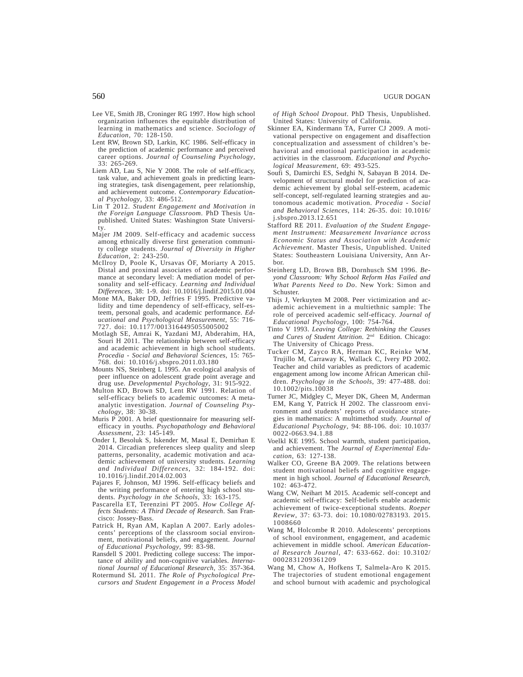- Lee VE, Smith JB, Croninger RG 1997. How high school organization influences the equitable distribution of learning in mathematics and science. *Sociology of Education,* 70: 128-150.
- Lent RW, Brown SD, Larkin, KC 1986. Self-efficacy in the prediction of academic performance and perceived career options. *Journal of Counseling Psychology*, 33: 265-269.
- Liem AD, Lau S, Nie Y 2008. The role of self-efficacy, task value, and achievement goals in predicting learning strategies, task disengagement, peer relationship, and achievement outcome. *Contemporary Educational Psychology*, 33: 486-512.
- Lin T 2012. *Student Engagement and Motivation in the Foreign Language Classroom*. PhD Thesis Unpublished. United States: Washington State University.
- Majer JM 2009. Self-efficacy and academic success among ethnically diverse first generation community college students. *Journal of Diversity in Higher Education*, 2: 243-250.
- McIlroy D, Poole K, Ursavas ÖF, Moriarty A 2015. Distal and proximal associates of academic performance at secondary level: A mediation model of personality and self-efficacy. *Learning and Individual Differences*, 38: 1-9. doi: 10.1016/j.lindif.2015.01.004
- Mone MA, Baker DD, Jeffries F 1995. Predictive validity and time dependency of self-efficacy, self-esteem, personal goals, and academic performance. *Educational and Psychological Measurement*, 55: 716- 727. doi: 10.1177/0013164495055005002
- Motlagh SE, Amrai K, Yazdani MJ, Abderahim, HA, Souri H 2011. The relationship between self-efficacy and academic achievement in high school students. *Procedia - Social and Behavioral Sciences*, 15: 765- 768. doi: 10.1016/j.sbspro.2011.03.180
- Mounts NS, Steinberg L 1995. An ecological analysis of peer influence on adolescent grade point average and drug use. *Developmental Psychology*, 31: 915-922.
- Multon KD, Brown SD, Lent RW 1991. Relation of self-efficacy beliefs to academic outcomes: A metaanalytic investigation. *Journal of Counseling Psychology*, 38: 30-38.
- Muris P 2001. A brief questionnaire for measuring selfefficacy in youths. *Psychopathology and Behavioral Assessment*, 23: 145-149.
- Onder I, Besoluk S, Iskender M, Masal E, Demirhan E 2014. Circadian preferences sleep quality and sleep patterns, personality, academic motivation and academic achievement of university students. *Learning and Individual Differences*, 32: 184-192. doi: 10.1016/j.lindif.2014.02.003
- Pajares F, Johnson, MJ 1996. Self-efficacy beliefs and the writing performance of entering high school students. *Psychology in the Schools*, 33: 163-175.
- Pascarella ET, Terenzini PT 2005. *How College Affects Students: A Third Decade of Research*. San Francisco: Jossey-Bass.
- Patrick H, Ryan AM, Kaplan A 2007. Early adolescents' perceptions of the classroom social environment, motivational beliefs, and engagement. *Journal of Educational Psychology*, 99: 83-98.
- Ransdell S 2001. Predicting college success: The importance of ability and non-cognitive variables. *International Journal of Educational Research*, 35: 357-364.
- Rotermund SL 2011. *The Role of Psychological Precursors and Student Engagement in a Process Model*

*of High School Dropout*. PhD Thesis, Unpublished. United States: University of California.

- Skinner EA, Kindermann TA, Furrer CJ 2009. A motivational perspective on engagement and disaffection conceptualization and assessment of children's behavioral and emotional participation in academic activities in the classroom. *Educational and Psychological Measurement*, 69: 493-525.
- Soufi S, Damirchi ES, Sedghi N, Sabayan B 2014. Development of structural model for prediction of academic achievement by global self-esteem, academic self-concept, self-regulated learning strategies and autonomous academic motivation. *Procedia - Social and Behavioral Sciences*, 114: 26-35. doi: 10.1016/ j.sbspro.2013.12.651
- Stafford RE 2011. *Evaluation of the Student Engagement Instrument: Measurement Invariance across Economic Status and Association with Academic Achievement*. Master Thesis, Unpublished. United States: Southeastern Louisiana University, Ann Arbor.
- Steinherg LD, Brown BB, Dornhusch SM 1996. *Beyond Classroom: Why School Reform Has Failed and What Parents Need to Do*. New York: Simon and Schuster.
- Thijs J, Verkuyten M 2008. Peer victimization and academic achievement in a multiethnic sample: The role of perceived academic self-efficacy. *Journal of Educational Psychology*, 100: 754-764.
- Tinto V 1993. *Leaving College: Rethinking the Causes and Cures of Student Attrition.* 2nd Edition*.* Chicago: The University of Chicago Press.
- Tucker CM, Zayco RA, Herman KC, Reinke WM, Trujillo M, Carraway K, Wallack C, Ivery PD 2002. Teacher and child variables as predictors of academic engagement among low income African American children. *Psychology in the Schools*, 39: 477-488. doi: 10.1002/pits.10038
- Turner JC, Midgley C, Meyer DK, Gheen M, Anderman EM, Kang Y, Patrick H 2002. The classroom environment and students' reports of avoidance strategies in mathematics: A multimethod study. *Journal of Educational Psychology*, 94: 88-106. doi: 10.1037/ 0022-0663.94.1.88
- Voelkl KE 1995. School warmth, student participation, and achievement. The *Journal of Experimental Education*, 63: 127-138.
- Walker CO, Greene BA 2009. The relations between student motivational beliefs and cognitive engagement in high school. *Journal of Educational Research*, 102: 463-472.
- Wang CW, Neihart M 2015. Academic self-concept and academic self-efficacy: Self-beliefs enable academic achievement of twice-exceptional students. *Roeper Review*, 37: 63-73. doi: 10.1080/02783193. 2015. 1008660
- Wang M, Holcombe R 2010. Adolescents' perceptions of school environment, engagement, and academic achievement in middle school. *American Educational Research Journal*, 47: 633-662. doi: 10.3102/ 0002831209361209
- Wang M, Chow A, Hofkens T, Salmela-Aro K 2015. The trajectories of student emotional engagement and school burnout with academic and psychological